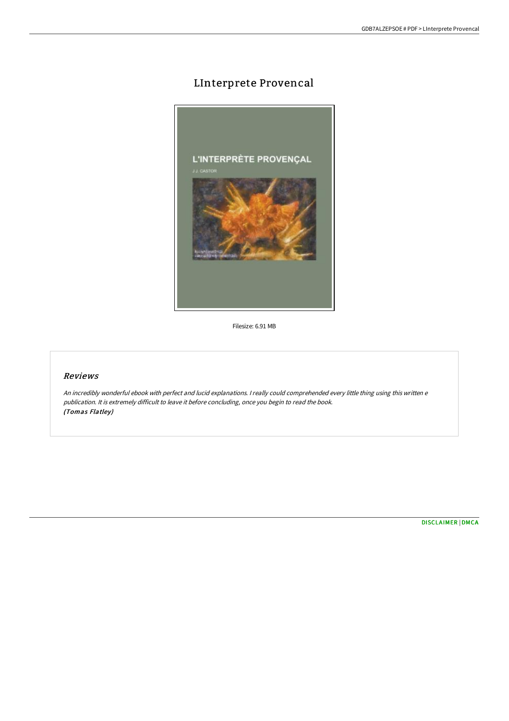## LInterprete Provencal



Filesize: 6.91 MB

## Reviews

An incredibly wonderful ebook with perfect and lucid explanations. <sup>I</sup> really could comprehended every little thing using this written <sup>e</sup> publication. It is extremely difficult to leave it before concluding, once you begin to read the book. (Tomas Flatley)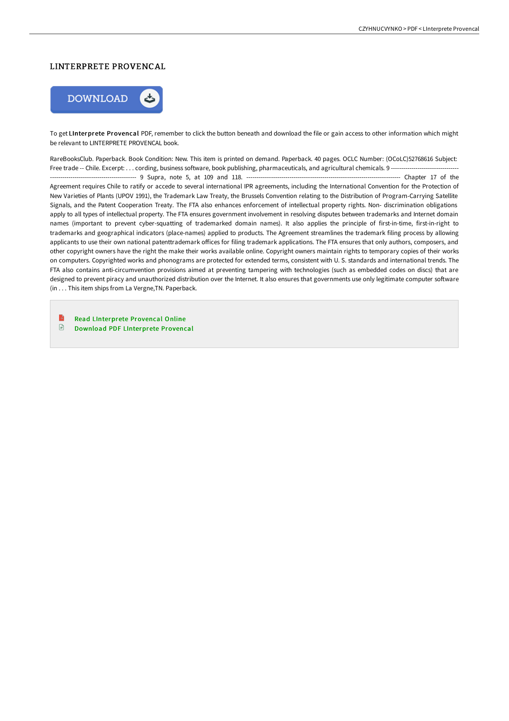## LINTERPRETE PROVENCAL



To get LInterprete Provencal PDF, remember to click the button beneath and download the file or gain access to other information which might be relevant to LINTERPRETE PROVENCAL book.

RareBooksClub. Paperback. Book Condition: New. This item is printed on demand. Paperback. 40 pages. OCLC Number: (OCoLC)52768616 Subject: Free trade -- Chile. Excerpt: . . . cording, business software, book publishing, pharmaceuticals, and agricultural chemicals. 9 ---------------------------------------------- 9 Supra, note 5, at 109 and 118. --------------------------------------------------------------------------- Chapter 17 of the Agreement requires Chile to ratify or accede to several international IPR agreements, including the International Convention for the Protection of New Varieties of Plants (UPOV 1991), the Trademark Law Treaty, the Brussels Convention relating to the Distribution of Program-Carrying Satellite Signals, and the Patent Cooperation Treaty. The FTA also enhances enforcement of intellectual property rights. Non- discrimination obligations apply to all types of intellectual property. The FTA ensures government involvement in resolving disputes between trademarks and Internet domain names (important to prevent cyber-squatting of trademarked domain names). It also applies the principle of first-in-time, first-in-right to trademarks and geographical indicators (place-names) applied to products. The Agreement streamlines the trademark filing process by allowing applicants to use their own national patenttrademark offices for filing trademark applications. The FTA ensures that only authors, composers, and other copyright owners have the right the make their works available online. Copyright owners maintain rights to temporary copies of their works on computers. Copyrighted works and phonograms are protected for extended terms, consistent with U. S. standards and international trends. The FTA also contains anti-circumvention provisions aimed at preventing tampering with technologies (such as embedded codes on discs) that are designed to prevent piracy and unauthorized distribution over the Internet. It also ensures that governments use only legitimate computer software (in . . . This item ships from La Vergne,TN. Paperback.

B Read [LInterprete](http://techno-pub.tech/linterprete-provencal.html) Provencal Online  $\mathbf{E}$ Download PDF [LInterprete](http://techno-pub.tech/linterprete-provencal.html) Provencal